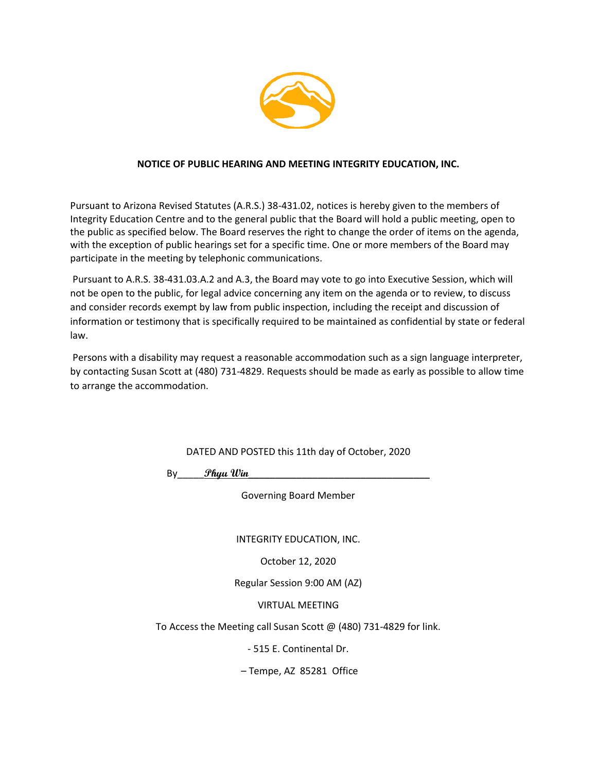

### **NOTICE OF PUBLIC HEARING AND MEETING INTEGRITY EDUCATION, INC.**

Pursuant to Arizona Revised Statutes (A.R.S.) 38-431.02, notices is hereby given to the members of Integrity Education Centre and to the general public that the Board will hold a public meeting, open to the public as specified below. The Board reserves the right to change the order of items on the agenda, with the exception of public hearings set for a specific time. One or more members of the Board may participate in the meeting by telephonic communications.

Pursuant to A.R.S. 38-431.03.A.2 and A.3, the Board may vote to go into Executive Session, which will not be open to the public, for legal advice concerning any item on the agenda or to review, to discuss and consider records exempt by law from public inspection, including the receipt and discussion of information or testimony that is specifically required to be maintained as confidential by state or federal law.

Persons with a disability may request a reasonable accommodation such as a sign language interpreter, by contacting Susan Scott at (480) 731-4829. Requests should be made as early as possible to allow time to arrange the accommodation.

DATED AND POSTED this 11th day of October, 2020

By\_\_\_\_\_**Phyu Win**\_\_\_\_\_\_\_\_\_\_\_\_\_\_\_\_\_\_\_\_\_\_\_\_\_\_\_\_\_\_\_\_\_\_

Governing Board Member

INTEGRITY EDUCATION, INC.

October 12, 2020

Regular Session 9:00 AM (AZ)

VIRTUAL MEETING

To Access the Meeting call Susan Scott @ (480) 731-4829 for link.

- 515 E. Continental Dr.

– Tempe, AZ 85281 Office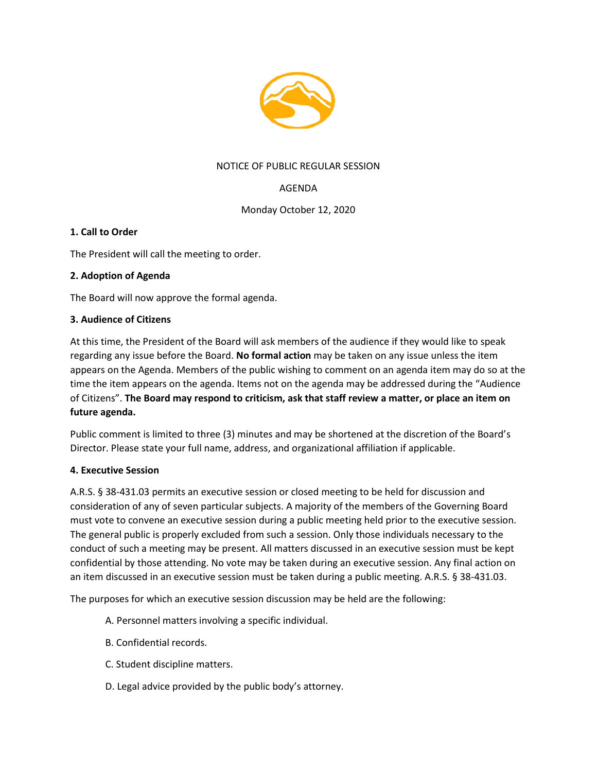

## NOTICE OF PUBLIC REGULAR SESSION

# AGENDA

### Monday October 12, 2020

### **1. Call to Order**

The President will call the meeting to order.

### **2. Adoption of Agenda**

The Board will now approve the formal agenda.

### **3. Audience of Citizens**

At this time, the President of the Board will ask members of the audience if they would like to speak regarding any issue before the Board. **No formal action** may be taken on any issue unless the item appears on the Agenda. Members of the public wishing to comment on an agenda item may do so at the time the item appears on the agenda. Items not on the agenda may be addressed during the "Audience of Citizens". **The Board may respond to criticism, ask that staff review a matter, or place an item on future agenda.**

Public comment is limited to three (3) minutes and may be shortened at the discretion of the Board's Director. Please state your full name, address, and organizational affiliation if applicable.

### **4. Executive Session**

A.R.S. § 38-431.03 permits an executive session or closed meeting to be held for discussion and consideration of any of seven particular subjects. A majority of the members of the Governing Board must vote to convene an executive session during a public meeting held prior to the executive session. The general public is properly excluded from such a session. Only those individuals necessary to the conduct of such a meeting may be present. All matters discussed in an executive session must be kept confidential by those attending. No vote may be taken during an executive session. Any final action on an item discussed in an executive session must be taken during a public meeting. A.R.S. § 38-431.03.

The purposes for which an executive session discussion may be held are the following:

- A. Personnel matters involving a specific individual.
- B. Confidential records.
- C. Student discipline matters.
- D. Legal advice provided by the public body's attorney.